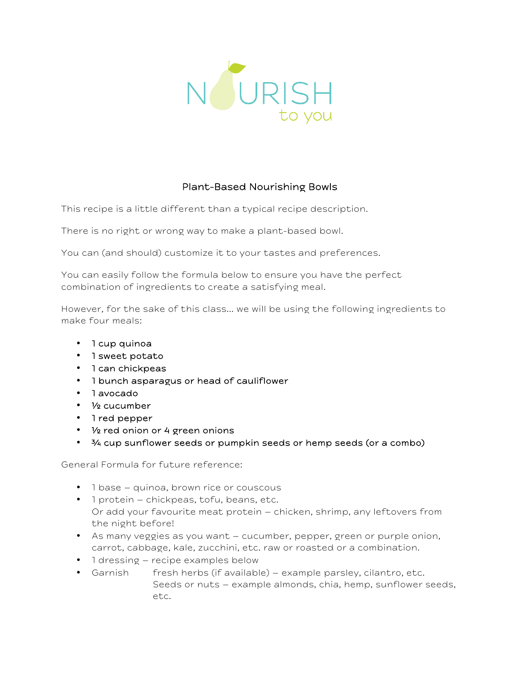

# Plant-Based Nourishing Bowls

This recipe is a little different than a typical recipe description.

There is no right or wrong way to make a plant-based bowl.

You can (and should) customize it to your tastes and preferences.

You can easily follow the formula below to ensure you have the perfect combination of ingredients to create a satisfying meal.

However, for the sake of this class… we will be using the following ingredients to make four meals:

- 1 cup quinoa
- 1 sweet potato
- 1 can chickpeas
- 1 bunch asparagus or head of cauliflower
- 1 avocado
- ½ cucumber
- 1 red pepper
- ½ red onion or 4 green onions
- $\frac{3}{4}$  cup sunflower seeds or pumpkin seeds or hemp seeds (or a combo)

General Formula for future reference:

- 1 base quinoa, brown rice or couscous
- 1 protein chickpeas, tofu, beans, etc. Or add your favourite meat protein – chicken, shrimp, any leftovers from the night before!
- As many veggies as you want cucumber, pepper, green or purple onion, carrot, cabbage, kale, zucchini, etc. raw or roasted or a combination.
- 1 dressing recipe examples below
- Garnish fresh herbs (if available) example parsley, cilantro, etc. Seeds or nuts – example almonds, chia, hemp, sunflower seeds, etc.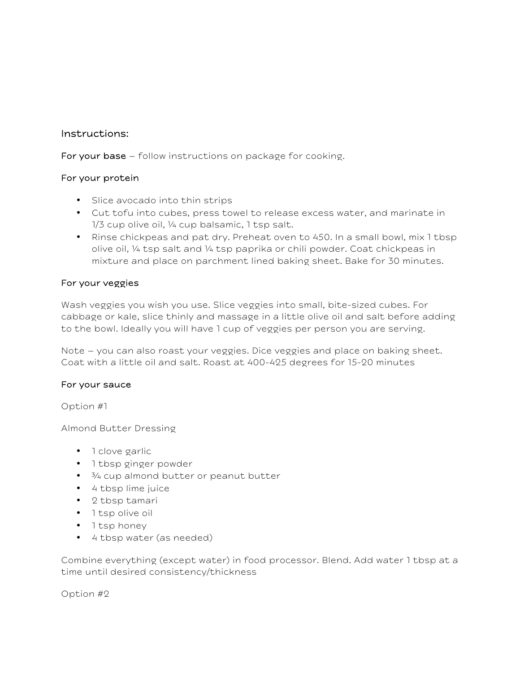## Instructions:

For your base – follow instructions on package for cooking.

### For your protein

- Slice avocado into thin strips
- Cut tofu into cubes, press towel to release excess water, and marinate in 1/3 cup olive oil, ¼ cup balsamic, 1 tsp salt.
- Rinse chickpeas and pat dry. Preheat oven to 450. In a small bowl, mix 1 tbsp olive oil, ¼ tsp salt and ¼ tsp paprika or chili powder. Coat chickpeas in mixture and place on parchment lined baking sheet. Bake for 30 minutes.

### For your veggies

Wash veggies you wish you use. Slice veggies into small, bite-sized cubes. For cabbage or kale, slice thinly and massage in a little olive oil and salt before adding to the bowl. Ideally you will have 1 cup of veggies per person you are serving.

Note – you can also roast your veggies. Dice veggies and place on baking sheet. Coat with a little oil and salt. Roast at 400-425 degrees for 15-20 minutes

### For your sauce

Option #1

Almond Butter Dressing

- 1 clove garlic
- 1 tbsp ginger powder
- $\frac{3}{4}$  cup almond butter or peanut butter
- 4 tbsp lime juice
- 2 tbsp tamari
- 1 tsp olive oil
- 1 tsp honey
- 4 tbsp water (as needed)

Combine everything (except water) in food processor. Blend. Add water 1 tbsp at a time until desired consistency/thickness

Option #2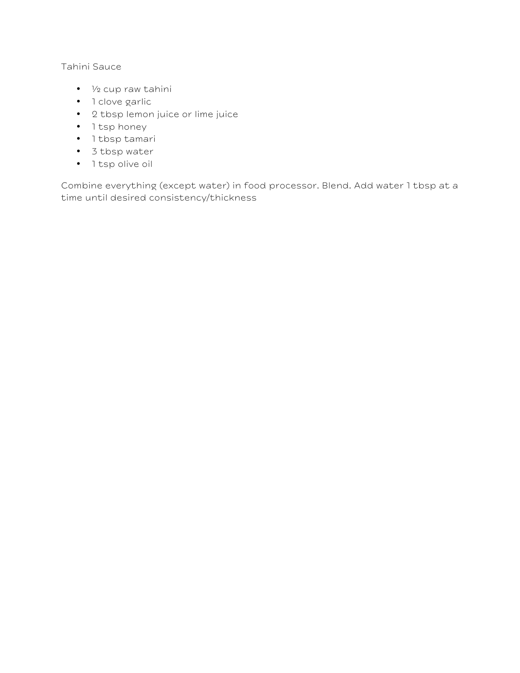## Tahini Sauce

- ½ cup raw tahini
- 1 clove garlic
- 2 tbsp lemon juice or lime juice
- 1 tsp honey
- 1 tbsp tamari
- 3 tbsp water
- 1 tsp olive oil

Combine everything (except water) in food processor. Blend. Add water 1 tbsp at a time until desired consistency/thickness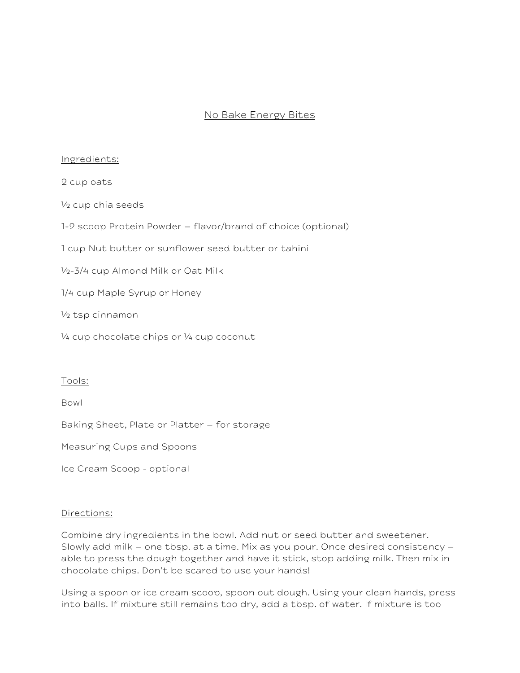## No Bake Energy Bites

#### Ingredients:

2 cup oats

½ cup chia seeds

1-2 scoop Protein Powder – flavor/brand of choice (optional)

1 cup Nut butter or sunflower seed butter or tahini

½-3/4 cup Almond Milk or Oat Milk

1/4 cup Maple Syrup or Honey

½ tsp cinnamon

¼ cup chocolate chips or ¼ cup coconut

#### Tools:

Bowl

Baking Sheet, Plate or Platter – for storage

Measuring Cups and Spoons

Ice Cream Scoop - optional

#### Directions:

Combine dry ingredients in the bowl. Add nut or seed butter and sweetener. Slowly add milk – one tbsp. at a time. Mix as you pour. Once desired consistency – able to press the dough together and have it stick, stop adding milk. Then mix in chocolate chips. Don't be scared to use your hands!

Using a spoon or ice cream scoop, spoon out dough. Using your clean hands, press into balls. If mixture still remains too dry, add a tbsp. of water. If mixture is too